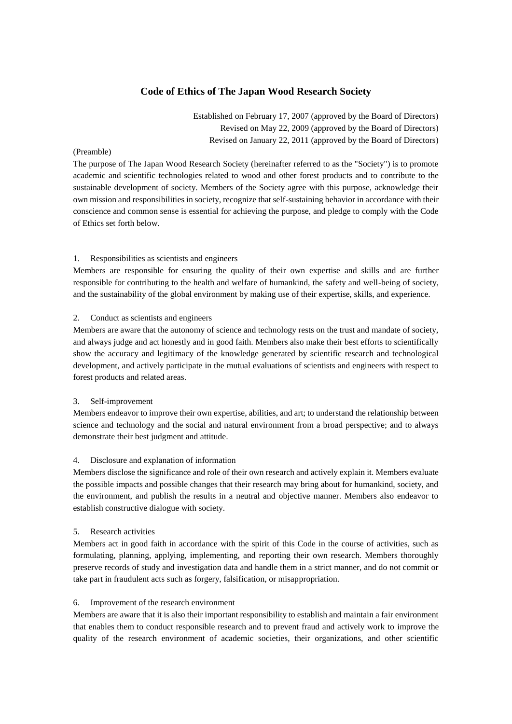# **Code of Ethics of The Japan Wood Research Society**

Established on February 17, 2007 (approved by the Board of Directors) Revised on May 22, 2009 (approved by the Board of Directors) Revised on January 22, 2011 (approved by the Board of Directors)

#### (Preamble)

The purpose of The Japan Wood Research Society (hereinafter referred to as the "Society") is to promote academic and scientific technologies related to wood and other forest products and to contribute to the sustainable development of society. Members of the Society agree with this purpose, acknowledge their own mission and responsibilities in society, recognize that self-sustaining behavior in accordance with their conscience and common sense is essential for achieving the purpose, and pledge to comply with the Code of Ethics set forth below.

#### 1. Responsibilities as scientists and engineers

Members are responsible for ensuring the quality of their own expertise and skills and are further responsible for contributing to the health and welfare of humankind, the safety and well-being of society, and the sustainability of the global environment by making use of their expertise, skills, and experience.

#### 2. Conduct as scientists and engineers

Members are aware that the autonomy of science and technology rests on the trust and mandate of society, and always judge and act honestly and in good faith. Members also make their best efforts to scientifically show the accuracy and legitimacy of the knowledge generated by scientific research and technological development, and actively participate in the mutual evaluations of scientists and engineers with respect to forest products and related areas.

#### 3. Self-improvement

Members endeavor to improve their own expertise, abilities, and art; to understand the relationship between science and technology and the social and natural environment from a broad perspective; and to always demonstrate their best judgment and attitude.

#### 4. Disclosure and explanation of information

Members disclose the significance and role of their own research and actively explain it. Members evaluate the possible impacts and possible changes that their research may bring about for humankind, society, and the environment, and publish the results in a neutral and objective manner. Members also endeavor to establish constructive dialogue with society.

#### 5. Research activities

Members act in good faith in accordance with the spirit of this Code in the course of activities, such as formulating, planning, applying, implementing, and reporting their own research. Members thoroughly preserve records of study and investigation data and handle them in a strict manner, and do not commit or take part in fraudulent acts such as forgery, falsification, or misappropriation.

#### 6. Improvement of the research environment

Members are aware that it is also their important responsibility to establish and maintain a fair environment that enables them to conduct responsible research and to prevent fraud and actively work to improve the quality of the research environment of academic societies, their organizations, and other scientific